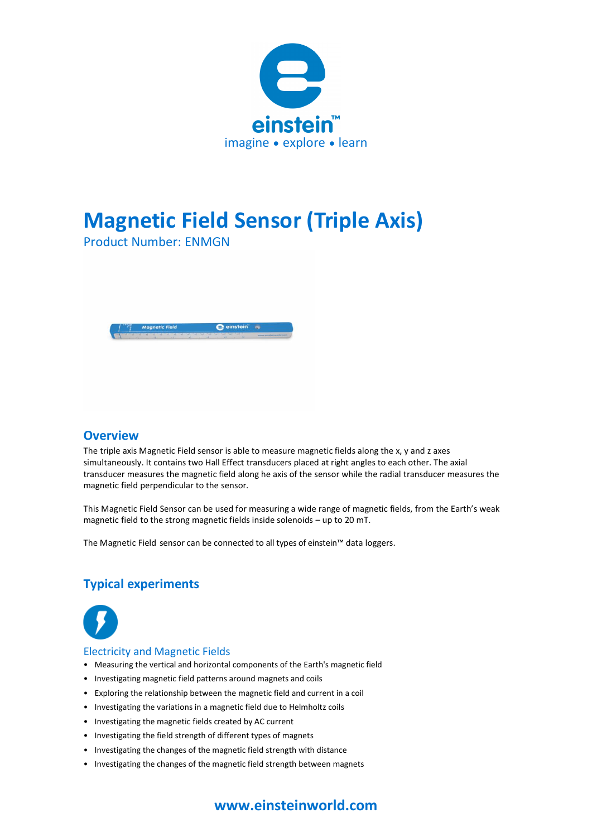

# **Magnetic Field Sensor (Triple Axis)**

Product Number: ENMGN



#### **Overview**

The triple axis Magnetic Field sensor is able to measure magnetic fields along the x, y and z axes simultaneously. It contains two Hall Effect transducers placed at right angles to each other. The axial transducer measures the magnetic field along he axis of the sensor while the radial transducer measures the magnetic field perpendicular to the sensor.

This Magnetic Field Sensor can be used for measuring a wide range of magnetic fields, from the Earth's weak magnetic field to the strong magnetic fields inside solenoids – up to 20 mT.

The Magnetic Field sensor can be connected to all types of einstein™ data loggers.

## **Typical experiments**



#### Electricity and Magnetic Fields

- Measuring the vertical and horizontal components of the Earth's magnetic field
- Investigating magnetic field patterns around magnets and coils
- Exploring the relationship between the magnetic field and current in a coil
- Investigating the variations in a magnetic field due to Helmholtz coils
- Investigating the magnetic fields created by AC current
- Investigating the field strength of different types of magnets
- Investigating the changes of the magnetic field strength with distance
- Investigating the changes of the magnetic field strength between magnets

## **www.einsteinworld.com**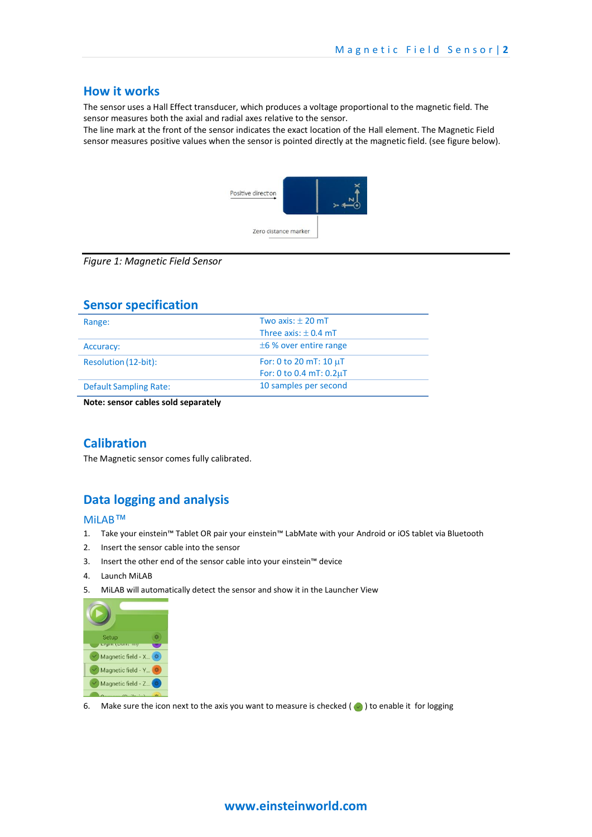#### **How it works**

The sensor uses a Hall Effect transducer, which produces a voltage proportional to the magnetic field. The sensor measures both the axial and radial axes relative to the sensor.

The line mark at the front of the sensor indicates the exact location of the Hall element. The Magnetic Field sensor measures positive values when the sensor is pointed directly at the magnetic field. (see figure below).



#### *Figure 1: Magnetic Field Sensor*

#### **Sensor specification**

| Two axis: $\pm$ 20 mT         |
|-------------------------------|
| Three axis: $\pm$ 0.4 mT      |
| $\pm 6$ % over entire range   |
| For: 0 to 20 mT: $10 \mu T$   |
| For: 0 to 0.4 $mT: 0.2 \mu T$ |
| 10 samples per second         |
|                               |

**Note: sensor cables sold separately**

## **Calibration**

The Magnetic sensor comes fully calibrated.

## **Data logging and analysis**

#### MiLAB™

- 1. Take your einstein™ Tablet OR pair your einstein™ LabMate with your Android or iOS tablet via Bluetooth
- 2. Insert the sensor cable into the sensor
- 3. Insert the other end of the sensor cable into your einstein™ device
- 4. Launch MiLAB
- 5. MiLAB will automatically detect the sensor and show it in the Launcher View



6. Make sure the icon next to the axis you want to measure is checked ( $\bullet$ ) to enable it for logging

## **www.einsteinworld.com**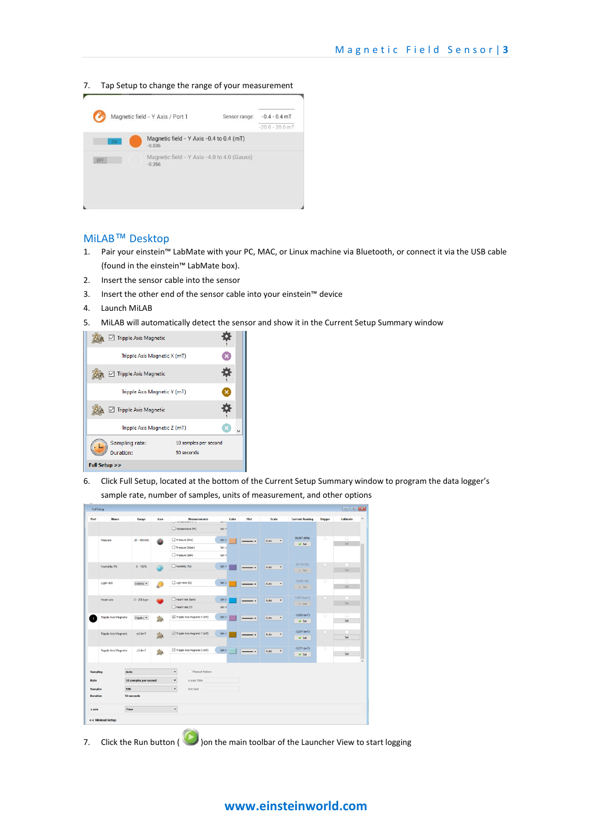7. Tap Setup to change the range of your measurement

|     | Magnetic field - Y Axis / Port 1                        | Sensor range: | $-0.4 - 0.4$ mT<br>$-20.0 - 20.0$ mT |  |
|-----|---------------------------------------------------------|---------------|--------------------------------------|--|
| ON  | Magnetic field - Y Axis -0.4 to 0.4 (mT)<br>$-0.036$    |               |                                      |  |
| OFF | Magnetic field - Y Axis -4.0 to 4.0 (Gauss)<br>$-0.356$ |               |                                      |  |
|     |                                                         |               |                                      |  |

#### MiLAB™ Desktop

- 1. Pair your einstein™ LabMate with your PC, MAC, or Linux machine via Bluetooth, or connect it via the USB cable (found in the einstein™ LabMate box).
- 2. Insert the sensor cable into the sensor
- 3. Insert the other end of the sensor cable into your einstein™ device
- 4. Launch MiLAB
- 5. MiLAB will automatically detect the sensor and show it in the Current Setup Summary window



6. Click Full Setup, located at the bottom of the Current Setup Summary window to program the data logger's sample rate, number of samples, units of measurement, and other options

| Port                              | <b>Name</b>                  | Range                 | Icon     | <b>Measurements</b><br>$\sim$               | Color   | Plot       | Scale                        | <b>Current Reading</b>        | <b>Trigger</b> | <b>Calibrate</b> |
|-----------------------------------|------------------------------|-----------------------|----------|---------------------------------------------|---------|------------|------------------------------|-------------------------------|----------------|------------------|
|                                   |                              |                       |          | Temperature (%)                             | Set >   |            |                              |                               |                |                  |
|                                   | Pressure                     | 20 - 400 kPa          |          | Pressure (iPa)                              | Set >   | - <b>-</b> | Auto<br>$\blacksquare$       | 99.697 (kPa)                  | $\circ$        | $\Box$           |
|                                   |                              |                       |          | Pressure (mbar)                             | Set >   |            |                              | $V$ Set                       |                | Set              |
|                                   |                              |                       |          | Pressure (atm)                              | Set >   |            |                              |                               |                |                  |
|                                   | Humidity 5%                  | $0 - 100%$            |          | Humidity (%)                                | Set >   |            | Auto<br>$\blacktriangledown$ | 42.734 (%)<br>$\forall$ Set   | $\circ$        | п<br>Set         |
|                                   |                              |                       |          |                                             |         |            |                              | $12.601$ (b)                  | $\circ$        | $\Box$           |
|                                   | Light-600                    | 0-600 b $-$           | ۵        | $\Box$ Light-600 ([x]                       | Set     |            | Auto<br>$\cdot$              | $V$ Set                       |                | Set              |
|                                   | <b>Heart</b> rate            | $0 - 200$ bpm         |          | Heartrate (bpm)                             | Set >   |            | $\blacksquare$<br>Auto       | $1.663$ (bpm)                 | $\circ$        | m                |
|                                   |                              |                       |          | Heartrate (V)                               | Set >   |            |                              | $\psi$ Set                    |                | Set              |
| ٠                                 | <b>Tripple Axis Magnetic</b> | Tripple $I$ $\neq$    | AA       | Tripple Axis Magnetic X (mT)                | Set >   |            | Auto<br>$\blacksquare$       | $-0.005$ (mT)<br><b>⊎</b> Set | $\circ$        | п.<br>Set        |
|                                   | <b>Tripple Axis Magnetic</b> | ±0.4mT                | <b>A</b> | Tripple Axis Magnetic Y (mT)                | Set $>$ |            | Auto<br>$\cdot$              | $-0.047$ (mT)<br>$V$ Set      | $\circ$        | m.<br>Set        |
|                                   | <b>Tripple Axis Magnetic</b> | ±0.4mT                | AA       | Tripple Axis Magnetic Z (mT)                | Set >   |            | Auto<br>$\cdot$              | $-0.011(mT)$<br>$V$ Set       | $\circ$        | п<br>Set         |
| <b>Sampling</b>                   |                              | Auto                  |          | $\bullet$<br>Manual Values                  |         |            |                              |                               |                |                  |
| Rate                              |                              | 10 samples per second |          | $\bullet$<br>x axis Title                   |         |            |                              |                               |                |                  |
| <b>Samples</b><br><b>Duration</b> |                              | 500                   |          | $\overline{\phantom{a}}$<br><b>Set Unit</b> |         |            |                              |                               |                |                  |
|                                   |                              | 50 seconds            |          |                                             |         |            |                              |                               |                |                  |
| x axis                            |                              | Time                  |          | $\overline{\phantom{a}}$                    |         |            |                              |                               |                |                  |
|                                   | << Minimal Setup             |                       |          |                                             |         |            |                              |                               |                |                  |

- 7. Click the Run button ( $\bigcirc$ ) on the main toolbar of the Launcher View to start logging
	- **www.einsteinworld.com**